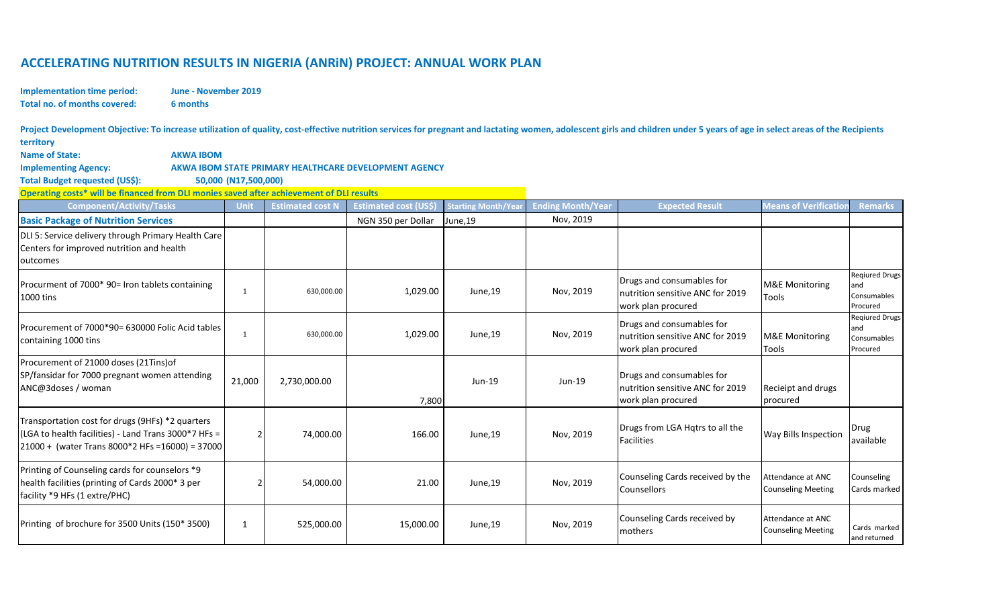## **ACCELERATING NUTRITION RESULTS IN NIGERIA (ANRiN) PROJECT: ANNUAL WORK PLAN**

**Implementation time period: Total no. of months covered: 6 months**

**June - November 2019**

Project Development Objective: To increase utilization of quality, cost-effective nutrition services for pregnant and lactating women, adolescent girls and children under 5 years of age in select areas of the Recipients **territory**

| <b>Name of State:</b><br><b>AKWA IBOM</b><br><b>Implementing Agency:</b><br>Total Budget requested (US\$):                                                  | 50,000 (N17,500,000) |                         | AKWA IBOM STATE PRIMARY HEALTHCARE DEVELOPMENT AGENCY |                                      |                                       |                                                                                     |                                                |                                                         |  |
|-------------------------------------------------------------------------------------------------------------------------------------------------------------|----------------------|-------------------------|-------------------------------------------------------|--------------------------------------|---------------------------------------|-------------------------------------------------------------------------------------|------------------------------------------------|---------------------------------------------------------|--|
| Operating costs* will be financed from DLI monies saved after achievement of DLI results                                                                    |                      |                         |                                                       |                                      |                                       |                                                                                     |                                                |                                                         |  |
| <b>Component/Activity/Tasks</b><br><b>Basic Package of Nutrition Services</b>                                                                               | Unit                 | <b>Estimated cost N</b> | <b>Estimated cost (US\$</b><br>NGN 350 per Dollar     | <b>Starting Month/Yea</b><br>June,19 | <b>Ending Month/Year</b><br>Nov, 2019 | <b>Expected Result</b>                                                              | <b>Means of Verificatior</b>                   | <b>Remarks</b>                                          |  |
| DLI 5: Service delivery through Primary Health Care<br>Centers for improved nutrition and health<br>outcomes                                                |                      |                         |                                                       |                                      |                                       |                                                                                     |                                                |                                                         |  |
| Procurment of 7000* 90= Iron tablets containing<br>1000 tins                                                                                                | 1                    | 630,000.00              | 1,029.00                                              | June,19                              | Nov, 2019                             | Drugs and consumables for<br>nutrition sensitive ANC for 2019<br>work plan procured | <b>M&amp;E Monitoring</b><br>Tools             | <b>Reqiured Drugs</b><br>and<br>Consumables<br>Procured |  |
| Procurement of 7000*90= 630000 Folic Acid tables<br>containing 1000 tins                                                                                    | 1                    | 630,000.00              | 1,029.00                                              | June,19                              | Nov, 2019                             | Drugs and consumables for<br>nutrition sensitive ANC for 2019<br>work plan procured | <b>M&amp;E Monitoring</b><br>Tools             | <b>Regiured Drugs</b><br>and<br>Consumables<br>Procured |  |
| Procurement of 21000 doses (21Tins) of<br>SP/fansidar for 7000 pregnant women attending<br>ANC@3doses / woman                                               | 21,000               | 2,730,000.00            | 7,800                                                 | Jun-19                               | Jun-19                                | Drugs and consumables for<br>nutrition sensitive ANC for 2019<br>work plan procured | Recieipt and drugs<br>procured                 |                                                         |  |
| Transportation cost for drugs (9HFs) *2 quarters<br>(LGA to health facilities) - Land Trans 3000*7 HFs =<br>21000 + (water Trans 8000*2 HFs =16000) = 37000 | $\overline{2}$       | 74,000.00               | 166.00                                                | June,19                              | Nov, 2019                             | Drugs from LGA Hqtrs to all the<br><b>Facilities</b>                                | <b>Way Bills Inspection</b>                    | Drug<br>available                                       |  |
| Printing of Counseling cards for counselors *9<br>health facilities (printing of Cards 2000* 3 per<br>facility *9 HFs (1 extre/PHC)                         | 2                    | 54,000.00               | 21.00                                                 | June,19                              | Nov, 2019                             | Counseling Cards received by the<br>Counsellors                                     | Attendance at ANC<br><b>Counseling Meeting</b> | Counseling<br>Cards marked                              |  |
| Printing of brochure for 3500 Units (150* 3500)                                                                                                             | 1                    | 525,000.00              | 15,000.00                                             | June,19                              | Nov, 2019                             | Counseling Cards received by<br>mothers                                             | Attendance at ANC<br><b>Counseling Meeting</b> | Cards marked<br>and returned                            |  |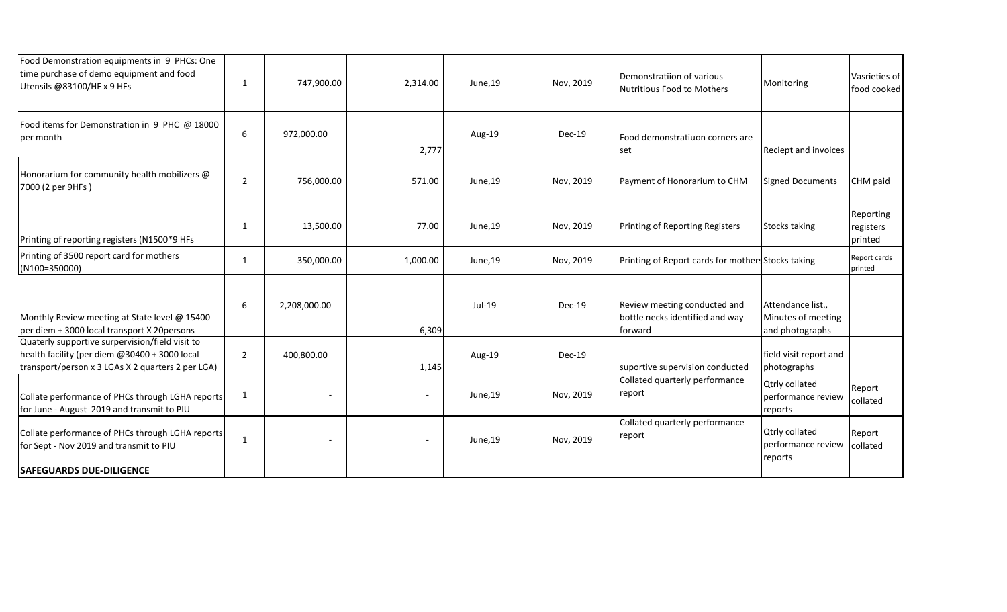| Food Demonstration equipments in 9 PHCs: One<br>time purchase of demo equipment and food<br>Utensils @83100/HF x 9 HFs                                | 1              | 747,900.00   | 2,314.00                 | June,19 | Nov, 2019 | Demonstratiion of various<br>Nutritious Food to Mothers                    | Monitoring                                                 | Vasrieties of<br>food cooked      |
|-------------------------------------------------------------------------------------------------------------------------------------------------------|----------------|--------------|--------------------------|---------|-----------|----------------------------------------------------------------------------|------------------------------------------------------------|-----------------------------------|
| Food items for Demonstration in 9 PHC @ 18000<br>per month                                                                                            | 6              | 972,000.00   | 2,777                    | Aug-19  | Dec-19    | Food demonstratiuon corners are<br>set                                     | Reciept and invoices                                       |                                   |
| Honorarium for community health mobilizers @<br>7000 (2 per 9HFs)                                                                                     | $\overline{2}$ | 756,000.00   | 571.00                   | June,19 | Nov, 2019 | Payment of Honorarium to CHM                                               | <b>Signed Documents</b>                                    | CHM paid                          |
| Printing of reporting registers (N1500*9 HFs                                                                                                          | 1              | 13,500.00    | 77.00                    | June,19 | Nov, 2019 | Printing of Reporting Registers                                            | <b>Stocks taking</b>                                       | Reporting<br>registers<br>printed |
| Printing of 3500 report card for mothers<br>(N100=350000)                                                                                             | $\mathbf{1}$   | 350,000.00   | 1,000.00                 | June,19 | Nov, 2019 | Printing of Report cards for mothers Stocks taking                         |                                                            | Report cards<br>printed           |
| Monthly Review meeting at State level @ 15400<br>per diem + 3000 local transport X 20persons                                                          | 6              | 2,208,000.00 | 6,309                    | Jul-19  | $Dec-19$  | Review meeting conducted and<br>bottle necks identified and way<br>forward | Attendance list.,<br>Minutes of meeting<br>and photographs |                                   |
| Quaterly supportive surpervision/field visit to<br>health facility (per diem @30400 + 3000 local<br>transport/person x 3 LGAs X 2 quarters 2 per LGA) | $\overline{2}$ | 400,800.00   | 1,145                    | Aug-19  | Dec-19    | suportive supervision conducted                                            | field visit report and<br>photographs                      |                                   |
| Collate performance of PHCs through LGHA reports<br>for June - August 2019 and transmit to PIU                                                        | $\mathbf{1}$   |              | $\overline{\phantom{0}}$ | June,19 | Nov, 2019 | Collated quarterly performance<br>report                                   | <b>Qtrly collated</b><br>performance review<br>reports     | Report<br>collated                |
| Collate performance of PHCs through LGHA reports<br>for Sept - Nov 2019 and transmit to PIU                                                           | $\mathbf{1}$   |              |                          | June,19 | Nov, 2019 | Collated quarterly performance<br>report                                   | <b>Qtrly collated</b><br>performance review<br>reports     | Report<br>collated                |
| <b>SAFEGUARDS DUE-DILIGENCE</b>                                                                                                                       |                |              |                          |         |           |                                                                            |                                                            |                                   |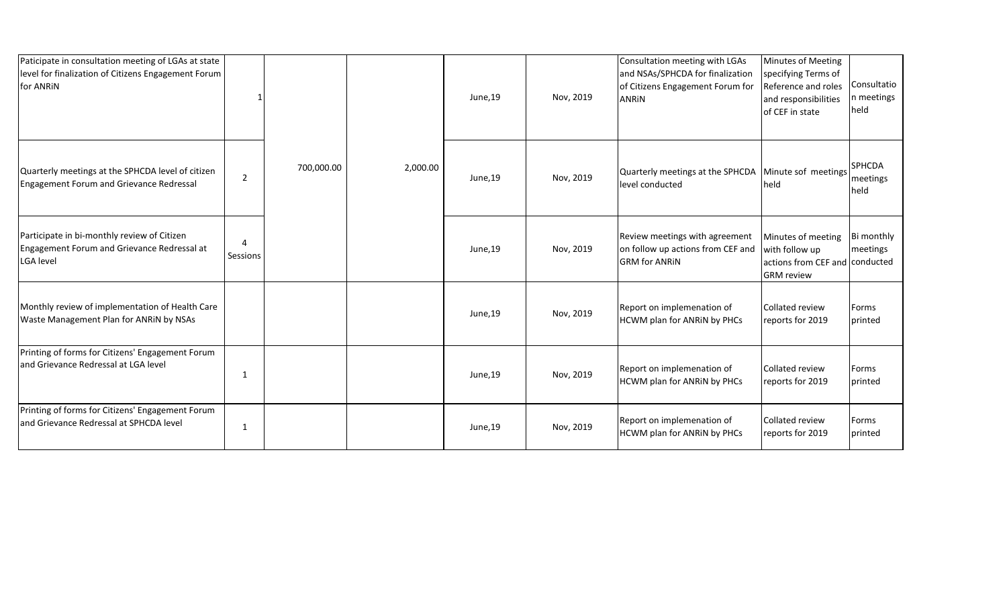| Paticipate in consultation meeting of LGAs at state<br>level for finalization of Citizens Engagement Forum<br>for ANRIN |          |            |          | June,19 | Nov, 2019 | Consultation meeting with LGAs<br>and NSAs/SPHCDA for finalization<br>of Citizens Engagement Forum for<br>ANRIN | Minutes of Meeting<br>specifying Terms of<br>Reference and roles<br>and responsibilities<br>of CEF in state | Consultatio<br>In meetings<br>held |
|-------------------------------------------------------------------------------------------------------------------------|----------|------------|----------|---------|-----------|-----------------------------------------------------------------------------------------------------------------|-------------------------------------------------------------------------------------------------------------|------------------------------------|
| Quarterly meetings at the SPHCDA level of citizen<br>Engagement Forum and Grievance Redressal                           | 2        | 700,000.00 | 2,000.00 | June,19 | Nov, 2019 | Quarterly meetings at the SPHCDA Minute sof meetings<br>level conducted                                         | <b>I</b> held                                                                                               | <b>SPHCDA</b><br>meetings<br>held  |
| Participate in bi-monthly review of Citizen<br>Engagement Forum and Grievance Redressal at<br><b>LGA</b> level          | Sessions |            |          | June,19 | Nov, 2019 | Review meetings with agreement<br>on follow up actions from CEF and<br><b>GRM</b> for ANRIN                     | Minutes of meeting<br>with follow up<br>actions from CEF and conducted<br><b>GRM</b> review                 | Bi monthly<br>meetings             |
| Monthly review of implementation of Health Care<br>Waste Management Plan for ANRIN by NSAs                              |          |            |          | June,19 | Nov, 2019 | Report on implemenation of<br>HCWM plan for ANRIN by PHCs                                                       | Collated review<br>reports for 2019                                                                         | Forms<br>printed                   |
| Printing of forms for Citizens' Engagement Forum<br>and Grievance Redressal at LGA level                                | 1        |            |          | June,19 | Nov, 2019 | Report on implemenation of<br>HCWM plan for ANRIN by PHCs                                                       | Collated review<br>reports for 2019                                                                         | Forms<br>printed                   |
| Printing of forms for Citizens' Engagement Forum<br>and Grievance Redressal at SPHCDA level                             | 1        |            |          | June,19 | Nov, 2019 | Report on implemenation of<br>HCWM plan for ANRIN by PHCs                                                       | <b>Collated review</b><br>reports for 2019                                                                  | Forms<br>printed                   |